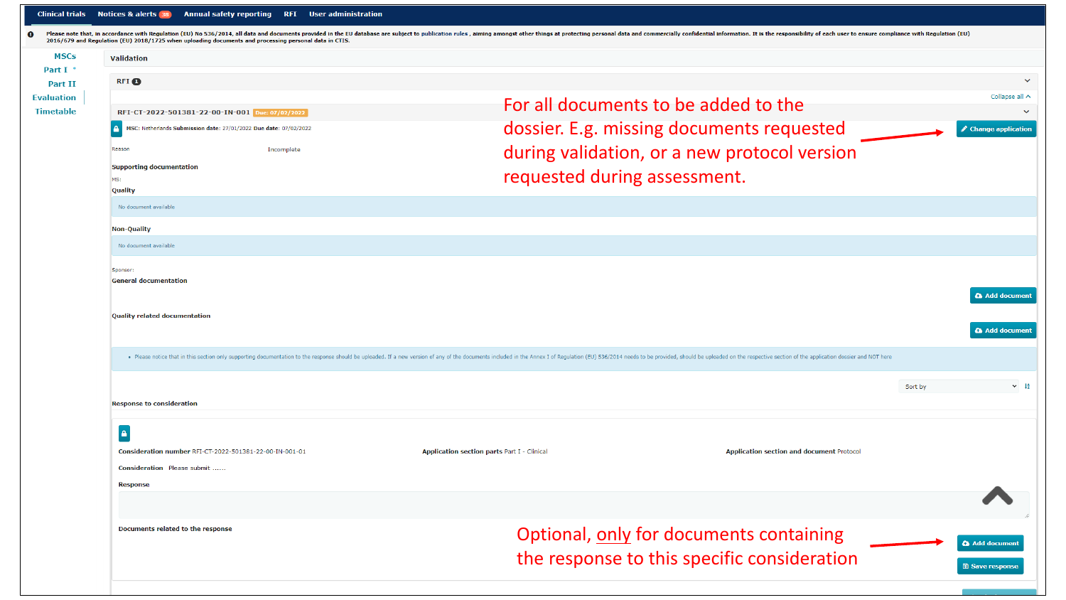| n                                       | 2016/679 and Requlation (EU) 2018/1725 when uploading documents and processing personal data in CTIS. | Please note that, in accordance with Regulation (EU) No 536/2014, all data and documents provided in the EU database are subject to publication rules, aiming amongst other things at protecting personal data and commerciall |
|-----------------------------------------|-------------------------------------------------------------------------------------------------------|--------------------------------------------------------------------------------------------------------------------------------------------------------------------------------------------------------------------------------|
| <b>MSCs</b><br>Part I<br><b>Part II</b> | <b>Validation</b><br><b>RFI</b> O                                                                     |                                                                                                                                                                                                                                |
| <b>Evaluation</b><br><b>Timetable</b>   | RFI-CT-2022-501381-22-00-IN-001 Due: 07/02/2022                                                       | For all documents to be added to the                                                                                                                                                                                           |
|                                         | MSC: Netherlands Submission date: 27/01/2022 Due date: 07/02/2022                                     | dossier. E.g. missing documents requested                                                                                                                                                                                      |
|                                         | Reason<br>Incomplete<br><b>Supporting documentation</b><br>MS:<br>Quality                             | during validation, or a new protocol version<br>requested during assessment.                                                                                                                                                   |
|                                         | No document available                                                                                 |                                                                                                                                                                                                                                |
|                                         | <b>Non-Quality</b><br>No document available                                                           |                                                                                                                                                                                                                                |
|                                         | Sponsor:                                                                                              |                                                                                                                                                                                                                                |

| . Please notice that in this section only supporting documentation to the response should be uploaded. If a new version of any of the documents included in the Annex I of Regulation (EU) 536/2014 needs to be provided, shou |  |
|--------------------------------------------------------------------------------------------------------------------------------------------------------------------------------------------------------------------------------|--|

**Application section parts Part I - Clinical** 

|  | Response to consideration |
|--|---------------------------|
|--|---------------------------|

## $\vert \bullet \vert$

Consideration number RFI-CT-2022-501381-22-00-IN-001-01

Consideration Please submit ......

**Response** 

Documents related to the response

## Optional, only for documents containing the response to this specific consideration

**Application section and document Protocol** 

Add document **圖 Save response**   $\ddotmark$ 

Collapse all  $\land$  $\checkmark$ 

 $\triangle$  Change application

Add document

Add document

 $\vee$   $\frac{14}{2}$ 

Sort by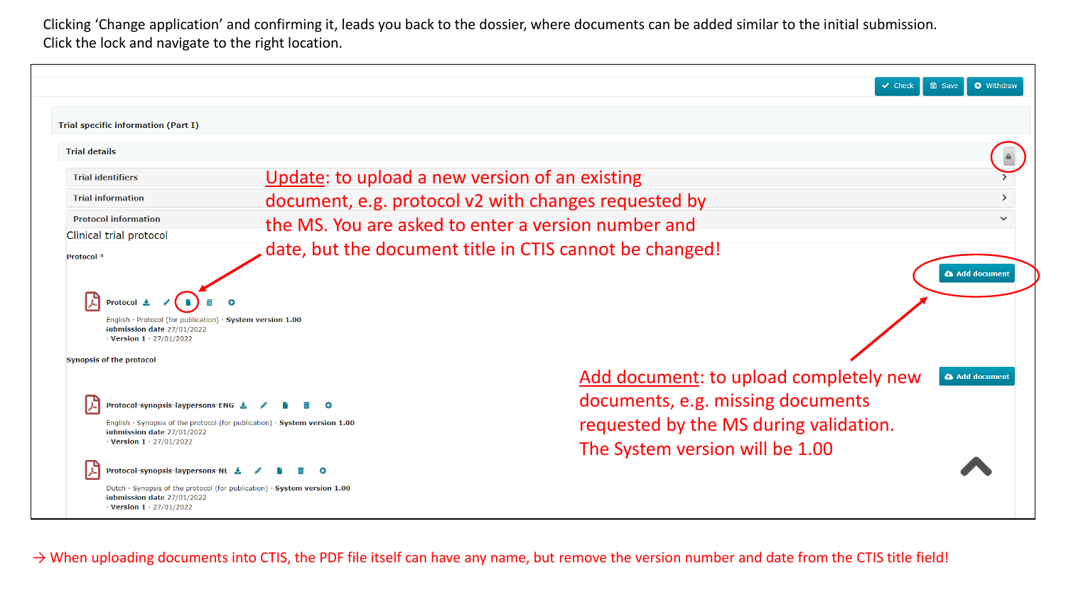Clicking 'Change application' and confirming it, leads you back to the dossier, where documents can be added similar to the initial submission. Click the lock and navigate to the right location.

|                                                                                                                                                                                        |                                                         | $\vee$ Check                                                                                                          | <b>O</b> Withdraw<br><b>圖 Save</b> |
|----------------------------------------------------------------------------------------------------------------------------------------------------------------------------------------|---------------------------------------------------------|-----------------------------------------------------------------------------------------------------------------------|------------------------------------|
| <b>Trial specific information (Part I)</b>                                                                                                                                             |                                                         |                                                                                                                       |                                    |
| <b>Trial details</b>                                                                                                                                                                   |                                                         |                                                                                                                       |                                    |
| <b>Trial identifiers</b>                                                                                                                                                               | Update: to upload a new version of an existing          |                                                                                                                       |                                    |
| <b>Trial information</b>                                                                                                                                                               | document, e.g. protocol v2 with changes requested by    |                                                                                                                       |                                    |
| <b>Protocol information</b>                                                                                                                                                            | the MS. You are asked to enter a version number and     |                                                                                                                       | $\checkmark$                       |
| Clinical trial protocol                                                                                                                                                                | date, but the document title in CTIS cannot be changed! |                                                                                                                       |                                    |
| <b>Protocol</b><br>English · Protocol (for publication) · System version 1.00<br>Submission date 27/01/2022<br>$\cdot$ Version 1 $\cdot$ 27/01/2022<br><b>Synopsis of the protocol</b> |                                                         |                                                                                                                       |                                    |
| Protocol-synopsis-laypersons-ENG と<br>English $\cdot$ Synopsis of the protocol (for publication) $\cdot$ System version 1.00                                                           |                                                         | Add document: to upload completely new<br>documents, e.g. missing documents<br>requested by the MS during validation. | Add document                       |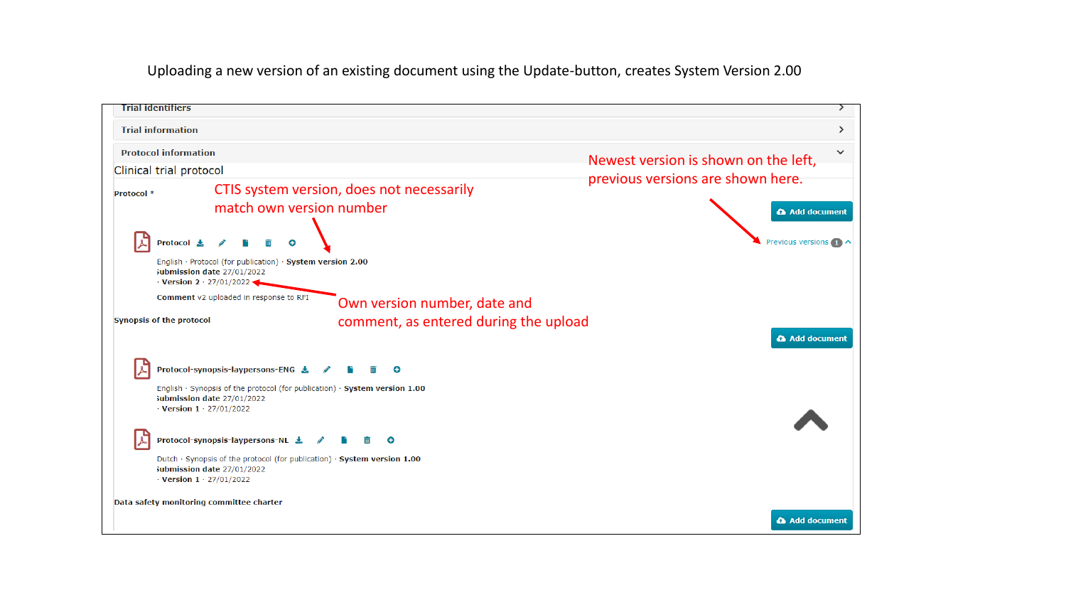Uploading a new version of an existing document using the Update-button, creates System Version 2.00